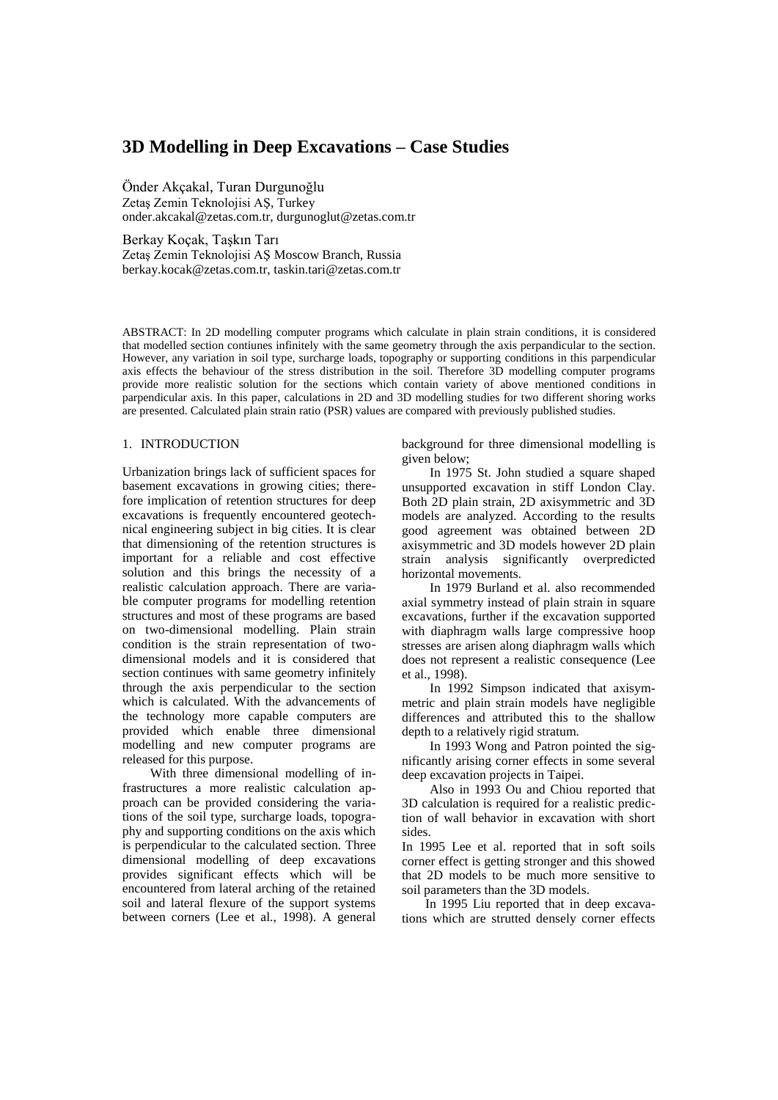# **3D Modelling in Deep Excavations – Case Studies**

Önder Akçakal, Turan Durgunoğlu Zetaş Zemin Teknolojisi AŞ, Turkey onder.akcakal@zetas.com.tr, durgunoglut@zetas.com.tr

Berkay Koçak, Taşkın Tarı Zetaş Zemin Teknolojisi AŞ Moscow Branch, Russia berkay.kocak@zetas.com.tr, taskin.tari@zetas.com.tr

ABSTRACT: In 2D modelling computer programs which calculate in plain strain conditions, it is considered that modelled section contiunes infinitely with the same geometry through the axis perpandicular to the section. However, any variation in soil type, surcharge loads, topography or supporting conditions in this parpendicular axis effects the behaviour of the stress distribution in the soil. Therefore 3D modelling computer programs provide more realistic solution for the sections which contain variety of above mentioned conditions in parpendicular axis. In this paper, calculations in 2D and 3D modelling studies for two different shoring works are presented. Calculated plain strain ratio (PSR) values are compared with previously published studies.

# 1. INTRODUCTION

Urbanization brings lack of sufficient spaces for basement excavations in growing cities; therefore implication of retention structures for deep excavations is frequently encountered geotechnical engineering subject in big cities. It is clear that dimensioning of the retention structures is important for a reliable and cost effective solution and this brings the necessity of a realistic calculation approach. There are variable computer programs for modelling retention structures and most of these programs are based on two-dimensional modelling. Plain strain condition is the strain representation of twodimensional models and it is considered that section continues with same geometry infinitely through the axis perpendicular to the section which is calculated. With the advancements of the technology more capable computers are provided which enable three dimensional modelling and new computer programs are released for this purpose.

With three dimensional modelling of infrastructures a more realistic calculation approach can be provided considering the variations of the soil type, surcharge loads, topography and supporting conditions on the axis which is perpendicular to the calculated section. Three dimensional modelling of deep excavations provides significant effects which will be encountered from lateral arching of the retained soil and lateral flexure of the support systems between corners (Lee et al., 1998). A general

background for three dimensional modelling is given below;

In 1975 St. John studied a square shaped unsupported excavation in stiff London Clay. Both 2D plain strain, 2D axisymmetric and 3D models are analyzed. According to the results good agreement was obtained between 2D axisymmetric and 3D models however 2D plain strain analysis significantly overpredicted horizontal movements.

In 1979 Burland et al. also recommended axial symmetry instead of plain strain in square excavations, further if the excavation supported with diaphragm walls large compressive hoop stresses are arisen along diaphragm walls which does not represent a realistic consequence (Lee et al., 1998).

In 1992 Simpson indicated that axisymmetric and plain strain models have negligible differences and attributed this to the shallow depth to a relatively rigid stratum.

In 1993 Wong and Patron pointed the significantly arising corner effects in some several deep excavation projects in Taipei.

Also in 1993 Ou and Chiou reported that 3D calculation is required for a realistic prediction of wall behavior in excavation with short sides.

In 1995 Lee et al. reported that in soft soils corner effect is getting stronger and this showed that 2D models to be much more sensitive to soil parameters than the 3D models.

In 1995 Liu reported that in deep excavations which are strutted densely corner effects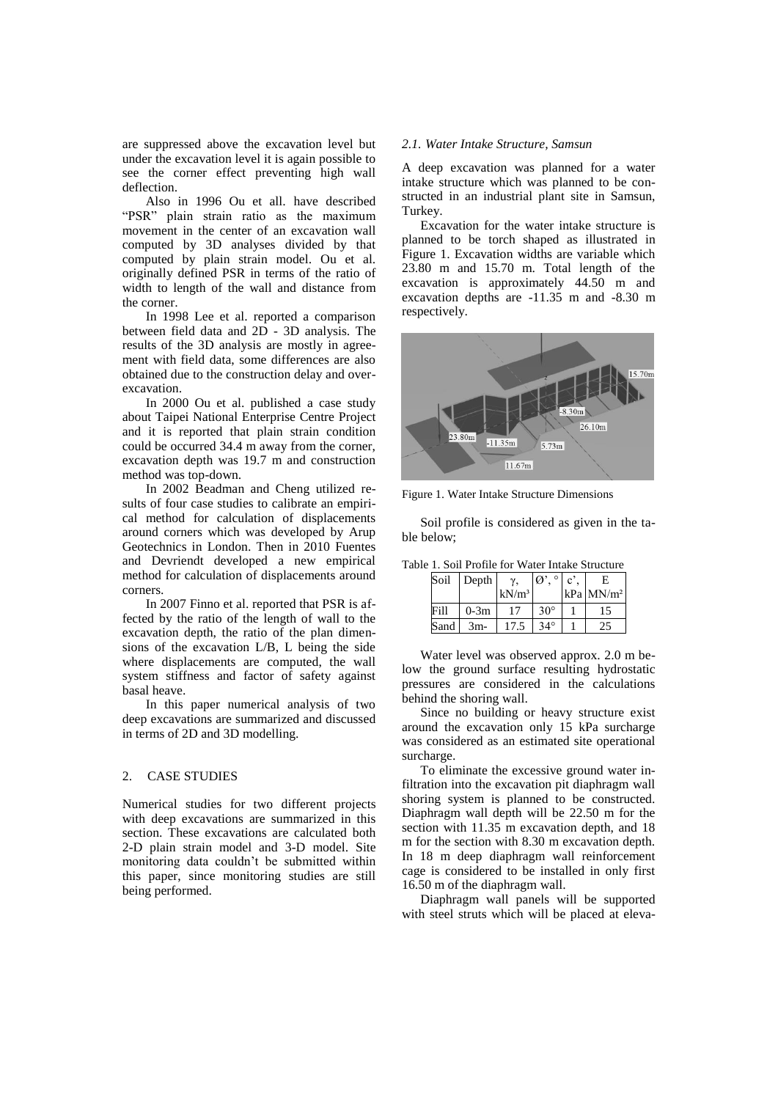are suppressed above the excavation level but under the excavation level it is again possible to see the corner effect preventing high wall deflection.

Also in 1996 Ou et all. have described "PSR" plain strain ratio as the maximum movement in the center of an excavation wall computed by 3D analyses divided by that computed by plain strain model. Ou et al. originally defined PSR in terms of the ratio of width to length of the wall and distance from the corner.

In 1998 Lee et al. reported a comparison between field data and 2D - 3D analysis. The results of the 3D analysis are mostly in agreement with field data, some differences are also obtained due to the construction delay and overexcavation.

In 2000 Ou et al. published a case study about Taipei National Enterprise Centre Project and it is reported that plain strain condition could be occurred 34.4 m away from the corner, excavation depth was 19.7 m and construction method was top-down.

In 2002 Beadman and Cheng utilized results of four case studies to calibrate an empirical method for calculation of displacements around corners which was developed by Arup Geotechnics in London. Then in 2010 Fuentes and Devriendt developed a new empirical method for calculation of displacements around corners.

In 2007 Finno et al. reported that PSR is affected by the ratio of the length of wall to the excavation depth, the ratio of the plan dimensions of the excavation L/B, L being the side where displacements are computed, the wall system stiffness and factor of safety against basal heave.

In this paper numerical analysis of two deep excavations are summarized and discussed in terms of 2D and 3D modelling.

# 2. CASE STUDIES

Numerical studies for two different projects with deep excavations are summarized in this section. These excavations are calculated both 2-D plain strain model and 3-D model. Site monitoring data couldn't be submitted within this paper, since monitoring studies are still being performed.

## *2.1. Water Intake Structure, Samsun*

A deep excavation was planned for a water intake structure which was planned to be constructed in an industrial plant site in Samsun, Turkey.

Excavation for the water intake structure is planned to be torch shaped as illustrated in Figure 1. Excavation widths are variable which 23.80 m and 15.70 m. Total length of the excavation is approximately 44.50 m and excavation depths are -11.35 m and -8.30 m respectively.



Figure 1. Water Intake Structure Dimensions

Soil profile is considered as given in the table below;

Table 1. Soil Profile for Water Intake Structure

| Soil | Depth  | ν.       | $\circ$<br>$\varnothing$ | $\mathbf{c}^{\prime}$ | F.            |
|------|--------|----------|--------------------------|-----------------------|---------------|
|      |        | $kN/m^3$ |                          |                       | $kPa$ $MN/m2$ |
| Fill | $0-3m$ |          | $30^{\circ}$             |                       | د،            |
| Sand | $3m-$  | 17.5     | $34^\circ$               |                       | 25            |

Water level was observed approx. 2.0 m below the ground surface resulting hydrostatic pressures are considered in the calculations behind the shoring wall.

Since no building or heavy structure exist around the excavation only 15 kPa surcharge was considered as an estimated site operational surcharge.

To eliminate the excessive ground water infiltration into the excavation pit diaphragm wall shoring system is planned to be constructed. Diaphragm wall depth will be 22.50 m for the section with 11.35 m excavation depth, and 18 m for the section with 8.30 m excavation depth. In 18 m deep diaphragm wall reinforcement cage is considered to be installed in only first 16.50 m of the diaphragm wall.

Diaphragm wall panels will be supported with steel struts which will be placed at eleva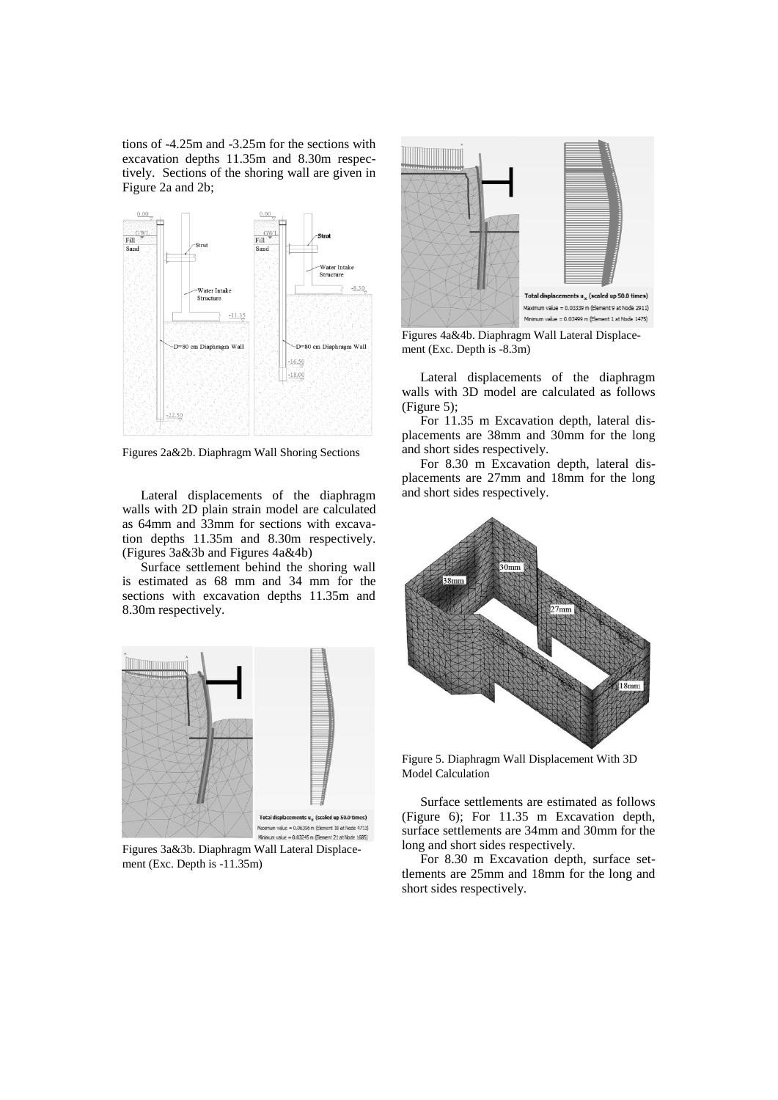tions of -4.25m and -3.25m for the sections with excavation depths 11.35m and 8.30m respectively. Sections of the shoring wall are given in Figure 2a and 2b;



Figures 2a&2b. Diaphragm Wall Shoring Sections

Lateral displacements of the diaphragm walls with 2D plain strain model are calculated as 64mm and 33mm for sections with excavation depths 11.35m and 8.30m respectively. (Figures 3a&3b and Figures 4a&4b)

Surface settlement behind the shoring wall is estimated as 68 mm and 34 mm for the sections with excavation depths 11.35m and 8.30m respectively.



Figures 3a&3b. Diaphragm Wall Lateral Displacement (Exc. Depth is -11.35m)



Figures 4a&4b. Diaphragm Wall Lateral Displacement (Exc. Depth is -8.3m)

Lateral displacements of the diaphragm walls with 3D model are calculated as follows (Figure 5);

For 11.35 m Excavation depth, lateral displacements are 38mm and 30mm for the long and short sides respectively.

For 8.30 m Excavation depth, lateral displacements are 27mm and 18mm for the long and short sides respectively.



Figure 5. Diaphragm Wall Displacement With 3D Model Calculation

Surface settlements are estimated as follows (Figure 6); For 11.35 m Excavation depth, surface settlements are 34mm and 30mm for the long and short sides respectively.

For 8.30 m Excavation depth, surface settlements are 25mm and 18mm for the long and short sides respectively.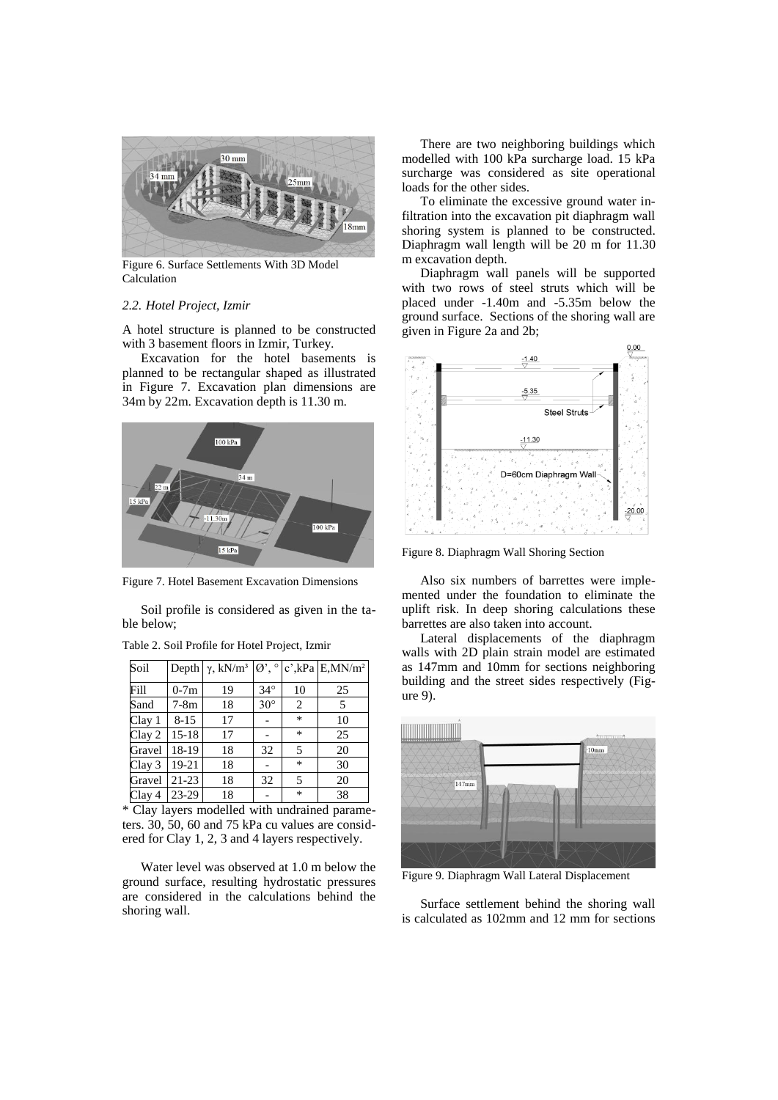

Figure 6. Surface Settlements With 3D Model Calculation

## *2.2. Hotel Project, Izmir*

A hotel structure is planned to be constructed with 3 basement floors in Izmir, Turkey.

Excavation for the hotel basements is planned to be rectangular shaped as illustrated in Figure 7. Excavation plan dimensions are 34m by 22m. Excavation depth is 11.30 m.



Figure 7. Hotel Basement Excavation Dimensions

Soil profile is considered as given in the table below;

| Soil   |          | Depth $\gamma$ , kN/m <sup>3</sup> | $\emptyset$ ', $\circ$ |        | $c'$ , kPa E, MN/m <sup>2</sup> |
|--------|----------|------------------------------------|------------------------|--------|---------------------------------|
| Fill   | $0-7m$   | 19                                 | $34^\circ$             | 10     | 25                              |
| Sand   | $7-8m$   | 18                                 | $30^\circ$             | 2      | 5                               |
| Clay 1 | $8 - 15$ | 17                                 |                        | $\ast$ | 10                              |
| Clay 2 | $15-18$  | 17                                 |                        | *      | 25                              |
| Gravel | 18-19    | 18                                 | 32                     | 5      | 20                              |
| Clay 3 | 19-21    | 18                                 |                        | *      | 30                              |
| Gravel | $21-23$  | 18                                 | 32                     | 5      | 20                              |
| Clay 4 | 23-29    | 18                                 |                        | *      | 38                              |

Table 2. Soil Profile for Hotel Project, Izmir

\* Clay layers modelled with undrained parameters. 30, 50, 60 and 75 kPa cu values are considered for Clay 1, 2, 3 and 4 layers respectively.

Water level was observed at 1.0 m below the ground surface, resulting hydrostatic pressures are considered in the calculations behind the shoring wall.

There are two neighboring buildings which modelled with 100 kPa surcharge load. 15 kPa surcharge was considered as site operational loads for the other sides.

To eliminate the excessive ground water infiltration into the excavation pit diaphragm wall shoring system is planned to be constructed. Diaphragm wall length will be 20 m for 11.30 m excavation depth.

Diaphragm wall panels will be supported with two rows of steel struts which will be placed under -1.40m and -5.35m below the ground surface. Sections of the shoring wall are given in Figure 2a and 2b;



Figure 8. Diaphragm Wall Shoring Section

Also six numbers of barrettes were implemented under the foundation to eliminate the uplift risk. In deep shoring calculations these barrettes are also taken into account.

Lateral displacements of the diaphragm walls with 2D plain strain model are estimated as 147mm and 10mm for sections neighboring building and the street sides respectively (Figure 9).



Figure 9. Diaphragm Wall Lateral Displacement

Surface settlement behind the shoring wall is calculated as 102mm and 12 mm for sections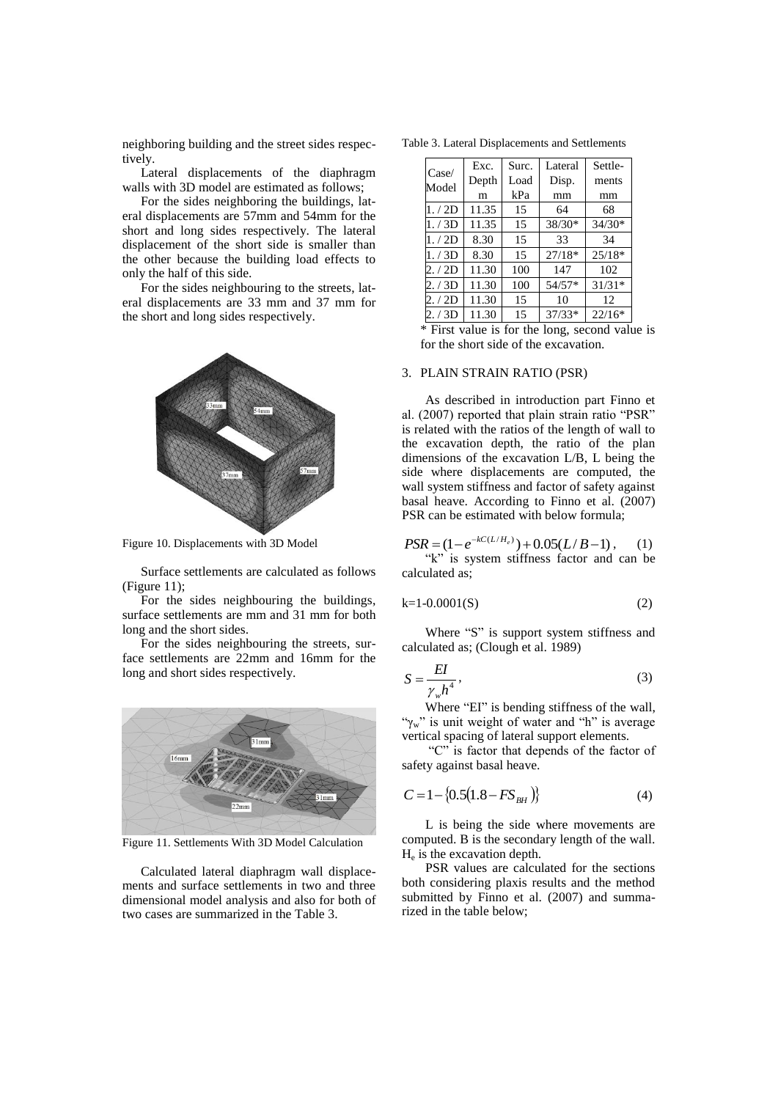neighboring building and the street sides respectively.

Lateral displacements of the diaphragm walls with 3D model are estimated as follows;

For the sides neighboring the buildings, lateral displacements are 57mm and 54mm for the short and long sides respectively. The lateral displacement of the short side is smaller than the other because the building load effects to only the half of this side.

For the sides neighbouring to the streets, lateral displacements are 33 mm and 37 mm for the short and long sides respectively.



Figure 10. Displacements with 3D Model

Surface settlements are calculated as follows (Figure 11);

For the sides neighbouring the buildings, surface settlements are mm and 31 mm for both long and the short sides.

For the sides neighbouring the streets, surface settlements are 22mm and 16mm for the long and short sides respectively.



Figure 11. Settlements With 3D Model Calculation

Calculated lateral diaphragm wall displacements and surface settlements in two and three dimensional model analysis and also for both of two cases are summarized in the Table 3.

| Case/<br>Model | Exc.<br>Depth | Surc.<br>Load | Lateral<br>Disp. | Settle-<br>ments |
|----------------|---------------|---------------|------------------|------------------|
|                | m             | kPa           | mm               | mm               |
| 1./2D          | 11.35         | 15            | 64               | 68               |
| 1./3D          | 11.35         | 15            | $38/30*$         | $34/30*$         |
| 1./2D          | 8.30          | 15            | 33               | 34               |
| 1./3D          | 8.30          | 15            | $27/18*$         | $25/18*$         |
| 2. / 2D        | 11.30         | 100           | 147              | 102              |
| 2. / 3D        | 11.30         | 100           | $54/57*$         | $31/31*$         |
| 2. / 2D        | 11.30         | 15            | 10               | 12               |
| 2. / 3D        | 11.30         | 15            | $37/33*$         | $22/16*$         |

\* First value is for the long, second value is for the short side of the excavation.

#### 3. PLAIN STRAIN RATIO (PSR)

As described in introduction part Finno et al. (2007) reported that plain strain ratio "PSR" is related with the ratios of the length of wall to the excavation depth, the ratio of the plan dimensions of the excavation L/B, L being the side where displacements are computed, the wall system stiffness and factor of safety against basal heave. According to Finno et al. (2007) PSR can be estimated with below formula;

$$
PSR = (1 - e^{-kC(L/H_e)}) + 0.05(L/B - 1), \quad (1)
$$

"k" is system stiffness factor and can be calculated as;

$$
k=1-0.0001(S)
$$
 (2)

Where "S" is support system stiffness and calculated as; (Clough et al. 1989)

$$
S = \frac{EI}{\gamma_w h^4},\tag{3}
$$

Where "EI" is bending stiffness of the wall, " $\gamma_w$ " is unit weight of water and "h" is average vertical spacing of lateral support elements.

"C" is factor that depends of the factor of safety against basal heave.

$$
C = 1 - \{0.5(1.8 - FS_{BH})\}\tag{4}
$$

L is being the side where movements are computed. B is the secondary length of the wall. He is the excavation depth.

PSR values are calculated for the sections both considering plaxis results and the method submitted by Finno et al. (2007) and summarized in the table below;